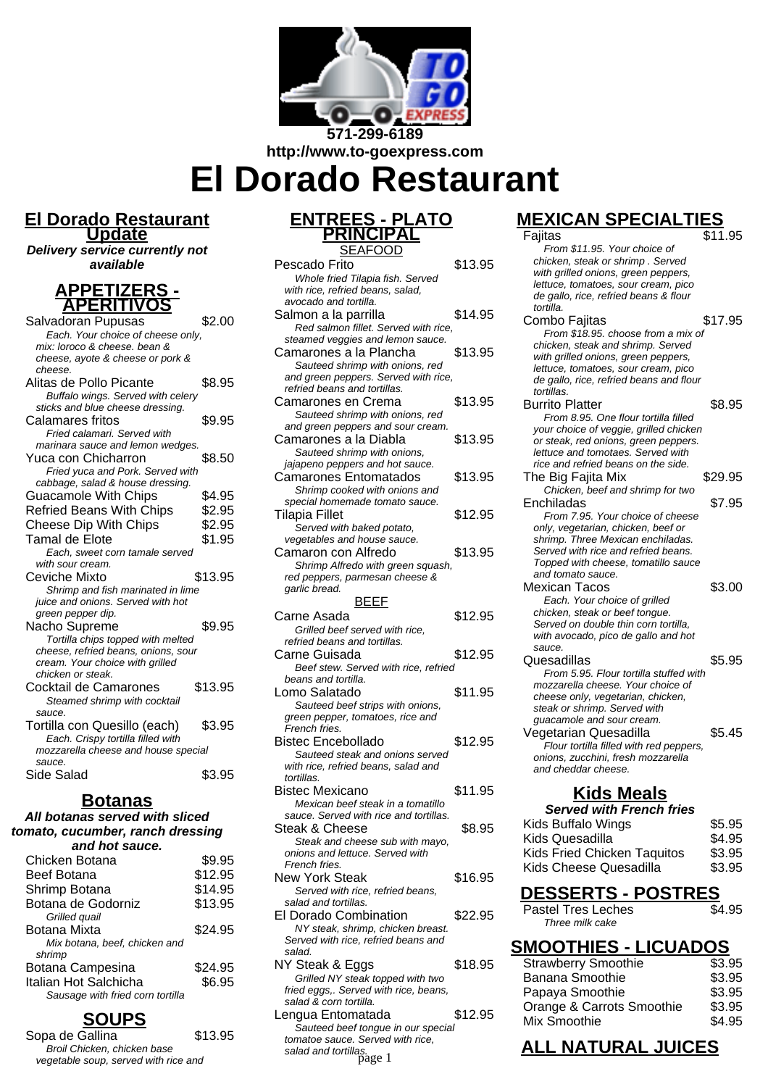

**http://www.to-goexpress.com**

**El Dorado Restaurant**

#### **El Dorado Restaurant Update**

**Delivery service currently not available**

#### **APPETIZERS - APERITIVOS**

| Salvadoran Pupusas                  | \$2.00  |
|-------------------------------------|---------|
| Each. Your choice of cheese only,   |         |
| mix: loroco & cheese, bean &        |         |
| cheese, ayote & cheese or pork &    |         |
| cheese.                             |         |
| Alitas de Pollo Picante             | \$8.95  |
| Buffalo wings. Served with celery   |         |
| sticks and blue cheese dressing.    |         |
| Calamares fritos                    | \$9.95  |
| Fried calamari. Served with         |         |
| marinara sauce and lemon wedges.    |         |
| Yuca con Chicharron                 | \$8.50  |
| Fried yuca and Pork. Served with    |         |
| cabbage, salad & house dressing.    |         |
| <b>Guacamole With Chips</b>         | \$4.95  |
| <b>Refried Beans With Chips</b>     | \$2.95  |
| <b>Cheese Dip With Chips</b>        | \$2.95  |
| Tamal de Elote                      | \$1.95  |
| Each, sweet corn tamale served      |         |
| with sour cream.                    |         |
| Ceviche Mixto                       | \$13.95 |
| Shrimp and fish marinated in lime   |         |
| juice and onions. Served with hot   |         |
| green pepper dip.                   |         |
| Nacho Supreme                       | \$9.95  |
| Tortilla chips topped with melted   |         |
| cheese, refried beans, onions, sour |         |
| cream. Your choice with grilled     |         |
| chicken or steak.                   |         |
| Cocktail de Camarones               | \$13.95 |
| Steamed shrimp with cocktail        |         |
| sauce.                              |         |
| Tortilla con Quesillo (each)        | \$3.95  |
| Each. Crispy tortilla filled with   |         |
| mozzarella cheese and house special |         |
| sauce.<br>Side Salad                |         |
|                                     | \$3.95  |

#### **Botanas**

#### **All botanas served with sliced tomato, cucumber, ranch dressing and hot sauce.**

| Chicken Botana                   | \$9.95  |
|----------------------------------|---------|
| Beef Botana                      | \$12.95 |
| Shrimp Botana                    | \$14.95 |
| Botana de Godorniz               | \$13.95 |
| Grilled quail                    |         |
| Botana Mixta                     | \$24.95 |
| Mix botana, beef, chicken and    |         |
| shrimp                           |         |
| Botana Campesina                 | \$24.95 |
| Italian Hot Salchicha            | \$6.95  |
| Sausage with fried corn tortilla |         |
|                                  |         |

## **SOUPS**

Sopa de Gallina  $$13.95$ Broil Chicken, chicken base vegetable soup, served with rice and

# **ENTREES - PLATO PRINCIPAL**

| <b>SEAFOOD</b>                                                  |         |
|-----------------------------------------------------------------|---------|
| Pescado Frito                                                   | \$13.95 |
| Whole fried Tilapia fish. Served                                |         |
| with rice, refried beans, salad,                                |         |
| avocado and tortilla.                                           |         |
| Salmon a la parrilla                                            | \$14.95 |
| Red salmon fillet. Served with rice,                            |         |
| steamed veggies and lemon sauce.                                |         |
| Camarones a la Plancha                                          | \$13.95 |
| Sauteed shrimp with onions, red                                 |         |
| and green peppers. Served with rice,                            |         |
| refried beans and tortillas.                                    |         |
|                                                                 |         |
| Camarones en Crema                                              | \$13.95 |
| Sauteed shrimp with onions, red                                 |         |
| and green peppers and sour cream.                               |         |
| Camarones a la Diabla                                           | \$13.95 |
| Sauteed shrimp with onions,                                     |         |
| jajapeno peppers and hot sauce.                                 |         |
| <b>Camarones Entomatados</b>                                    | \$13.95 |
| Shrimp cooked with onions and                                   |         |
| special homemade tomato sauce.                                  |         |
| Tilapia Fillet                                                  | \$12.95 |
| Served with baked potato,                                       |         |
|                                                                 |         |
| vegetables and house sauce.                                     |         |
| Camaron con Alfredo                                             | \$13.95 |
| Shrimp Alfredo with green squash,                               |         |
| red peppers, parmesan cheese &                                  |         |
| garlic bread.                                                   |         |
| <u>BEEF</u>                                                     |         |
| Carne Asada                                                     | \$12.95 |
| Grilled beef served with rice,                                  |         |
| refried beans and tortillas.                                    |         |
| Carne Guisada                                                   | \$12.95 |
| Beef stew. Served with rice, refried                            |         |
| beans and tortilla.                                             |         |
|                                                                 |         |
| Lomo Salatado                                                   | \$11.95 |
| Sauteed beef strips with onions,                                |         |
| green pepper, tomatoes, rice and                                |         |
| French fries.                                                   |         |
| Bistec Encebollado                                              |         |
| Sauteed steak and onions served                                 | \$12.95 |
|                                                                 |         |
| with rice, refried beans, salad and                             |         |
| tortillas.                                                      |         |
| Bistec Mexicano                                                 | \$11.95 |
| Mexican beef steak in a tomatillo                               |         |
| sauce. Served with rice and tortillas.                          |         |
|                                                                 |         |
| Steak & Cheese                                                  | \$8.95  |
| Steak and cheese sub with mayo,                                 |         |
| onions and lettuce. Served with                                 |         |
| French fries.                                                   |         |
| <b>New York Steak</b>                                           | \$16.95 |
| Served with rice, refried beans,                                |         |
| salad and tortillas.                                            |         |
| El Dorado Combination                                           | \$22.95 |
| NY steak, shrimp, chicken breast.                               |         |
| Served with rice, refried beans and                             |         |
| salad.                                                          |         |
| NY Steak & Eggs                                                 | \$18.95 |
|                                                                 |         |
| Grilled NY steak topped with two                                |         |
| fried eggs,. Served with rice, beans,<br>salad & corn tortilla. |         |
|                                                                 |         |
| Lengua Entomatada                                               | \$12.95 |
| Sauteed beef tongue in our special                              |         |
| tomatoe sauce. Served with rice,<br>salad and tortillas.        |         |

# **MEXICAN SPECIALTIES**

| Fajitas                                       | \$11.95 |
|-----------------------------------------------|---------|
| From \$11.95. Your choice of                  |         |
| chicken, steak or shrimp. Served              |         |
| with grilled onions, green peppers,           |         |
| lettuce, tomatoes, sour cream, pico           |         |
| de gallo, rice, refried beans & flour         |         |
| tortilla.                                     |         |
| Combo Fajitas                                 | \$17.95 |
| From \$18.95. choose from a mix of            |         |
| chicken, steak and shrimp. Served             |         |
| with grilled onions, green peppers,           |         |
| lettuce, tomatoes, sour cream, pico           |         |
| de gallo, rice, refried beans and flour       |         |
| tortillas.                                    |         |
| <b>Burrito Platter</b>                        | \$8.95  |
| From 8.95. One flour tortilla filled          |         |
| your choice of veggie, grilled chicken        |         |
| or steak, red onions, green peppers.          |         |
| lettuce and tomotaes. Served with             |         |
| rice and refried beans on the side.           |         |
| The Big Fajita Mix                            | \$29.95 |
| Chicken, beef and shrimp for two              |         |
| Enchiladas                                    | \$7.95  |
| From 7.95. Your choice of cheese              |         |
| only, vegetarian, chicken, beef or            |         |
| shrimp. Three Mexican enchiladas.             |         |
| Served with rice and refried beans.           |         |
| Topped with cheese, tomatillo sauce           |         |
| and tomato sauce.                             |         |
| Mexican Tacos                                 | \$3.00  |
| Each. Your choice of grilled                  |         |
| chicken, steak or beef tongue.                |         |
| Served on double thin corn tortilla.          |         |
| with avocado, pico de gallo and hot<br>sauce. |         |
| Quesadillas                                   | \$5.95  |
| From 5.95. Flour tortilla stuffed with        |         |
| mozzarella cheese. Your choice of             |         |
| cheese only, vegetarian, chicken,             |         |
| steak or shrimp. Served with                  |         |
| guacamole and sour cream.                     |         |
| Vegetarian Quesadilla                         | \$5.45  |
| Flour tortilla filled with red peppers,       |         |
| onions, zucchini, fresh mozzarella            |         |
| and cheddar cheese.                           |         |
|                                               |         |
| <u>Kids Meals</u>                             |         |
| <b>Served with French fries</b>               |         |
| <b>Kids Buffalo Wings</b>                     |         |
|                                               | \$5.95  |
| Kids Quesadilla                               | \$4.95  |
|                                               |         |

| Kids Quesadilla             | \$4.95 |
|-----------------------------|--------|
| Kids Fried Chicken Taquitos | \$3.95 |
| Kids Cheese Quesadilla      | \$3.95 |

#### **DESSERTS - POSTRES**

| Pastel Tres Leches | \$4.95 |
|--------------------|--------|
| Three milk cake    |        |

#### **SMOOTHIES - LICUADOS**

| <b>Strawberry Smoothie</b> | \$3.95 |
|----------------------------|--------|
| <b>Banana Smoothie</b>     | \$3.95 |
| Papaya Smoothie            | \$3.95 |
| Orange & Carrots Smoothie  | \$3.95 |
| Mix Smoothie               | \$4.95 |
|                            |        |

# Forved with rice,<br>as. page 1